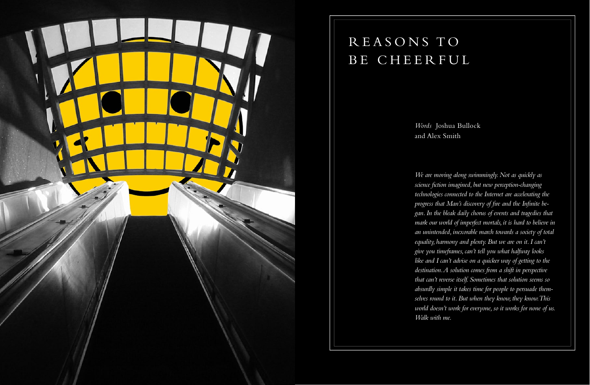

## REASONS TO BE CHEERFUL

Words Joshua Bullock and Alex Smith

We are moving along swimmingly. Not as quickly as science fiction imagined, but new perception-changing technologies connected to the Internet are accelerating the progress that Man's discovery of fire and the Infinite began. In the bleak daily chorus of events and tragedies that mark our world of imperfect mortals, it is hard to believe in an unintended, inexorable march towards a society of total equality, harmony and plenty. But we are on it. I can't give you timeframes, can't tell you what halfway looks like and I can't advise on a quicker way of getting to the destination. A solution comes from a shift in perspective that can't reverse itself. Sometimes that solution seems so absurdly simple it takes time for people to persuade themselves round to it. But when they know, they know. This world doesn't work for everyone, so it works for none of us. Walk with me.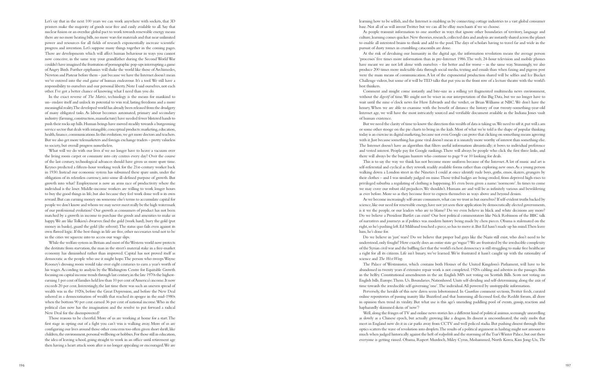Let's say that in the next 100 years we can work anywhere with sockets, that 3D printers make the majority of goods near free and easily available to all. Say that nuclear fusion or an overdue global pact to work towards renewable energy means there are no more heating bills, no more wars for materials and that near unlimited power and resources for all fields of research exponentially increase scientific progress and invention. Let's suppose many things together in the coming pages. There are developments which will affect human behaviour in ways you cannot now conceive, in the same way your grandfather during the Second World War couldn't have imagined the frustration of pornographic pop-ups interrupting a game of Angry Birds. Further epiphanies will shake the world like those of Archimedes, Newton and Pasteur before them – just because we have the Internet doesn't mean we've entered into the end game of human endeavour. It's a tool. We still have a responsibility to ourselves and our personal liberty. Note I said ourselves, not each other. I've got a better chance of knowing what I need than you do.

In the exact reverse of *The Matrix*, technology is the means for mankind to un- enslave itself and unlock its potential to win real, lasting freedoms and a more meaningful reality. The developed world has already been released from the drudgery of many obligated tasks. As labour becomes automated, primary and secondary industry (farming, construction, manufacture) have needed fewer blistered hands to push their rocks up hills. Human beings have moved steadily towards a burgeoning service sector that deals with intangible, conceptual products: marketing, education, health, finance, communications. In this evolution, we get more doctors and teachers. But we also get more telemarketers and foreign exchange traders – pretty valueless to society, but overall progress nonetheless.

What will we do with our lives if we no longer have to heave a vacuum over the living room carpet or commute into city centres every day? Over the course of the last century, technological advances should have given us more spare time. Keynes predicted a fifteen-hour working week for the 21st-century worker back in 1930. Instead our economic system has subsumed these spare units, under the obligation of its relentless currency, into some ill-defined purpose of growth. But growth into what? Employment is now an arms race of productivity where the individual is the loser. Middle-income workers are willing to work longer hours to buy the good things in life, but also because they feel work done well is its own reward. But can earning money on someone else's terms to accumulate capital for people we don't know and whom we may never meet really be the high watermark of our professional evolution? Our growth as consumers of product has not been matched by a growth in income to purchase the goods and amenities to make us happy. We are like Tolkien's dwarves: find the gold (work hard), bury the gold (put money in banks), guard the gold (die solvent). The status quo fails even against its own flawed logic. If the best things in life are free, other necessaries tend not to be in the cities we squeeze into to access our wage slips.

While the welfare system in Britain and most of the Western world now protects the destitute from starvation, the man in the street's material stake in a free-market economy has diminished rather than improved. Capital has not proved itself as democratic as the people who use it might hope. The person who sweeps Wayne Rooney's dressing room would take over eight centuries to earn a year's worth of his wages. According to analysis by the Washington Centre for Equitable Growth focusing on capital income trends through last century, in the late 1970s the highestearning 1 per cent of families held less than 10 per cent of America's income. It now exceeds 20 per cent. Interestingly, the last time there was such an uneven spread of wealth was in the 1920s, before the Great Depression, and before the New Deal ushered in a democratisation of wealth that reached its apogee in the mid-1980s when the bottom 90 per cent earned 36 per cent of national income. Who in the political class now has the imagination and the resolve to put forward a radical New Deal for the disempowered?

Those reasons to be cheerful. More of us are working at home for a start. The first stage in opting out of a fight you can't win is walking away. More of us are configuring our lives around those other concerns too often given short shrift, like children, the environment, personal wellbeing or hobbies. For those still in education, the idea of leaving school, going straight to work in an office until retirement age then having a heart attack soon after is no longer appealing or encouraged. We are

Do we believe in 'just' wars? Do we believe that proper bad guys like the Nazis still exist, who don't need to be understood, only fought? How exactly does an entire state go 'rogue'? We are frustrated by the irreducible complexity of the Syrian civil war and the baffling fact that the world's richest democracy is still struggling to make free healthcare a right for all its citizens. Life isn't binary, we've learned. We're frustrated it hasn't caught up with the rationality of science and *The West Wing* .

learning how to be selfish, and the Internet is enabling us by connecting cottage industries to a vast global consumer base. Not all of us will invent Twitter but we can all be eBay merchants if we so choose.

As people transmit information to one another in ways that ignore other boundaries of territory, language and culture, learning comes quicker. New theories, research, collected data and analysis are instantly shared across the planet to enable all interested brains to think and add to the pool. The days of scholars having to travel far and wide in the pursuit of dusty tomes in crumbling catacombs are done.

At the risk of devaluing our humanity in the digital age, the information revolution means the average person 'processes' five times more information than in pre-Internet 1986. The web, 24-hour television and mobile phones have meant we are not left alone with ourselves – for better and for worse – in the same way. Stunningly, we also produce 200 times more indexable data through social media, texting and emails than when faxing and pigeon post were the main means of communication. A lot of the exponential production shared will be selfies and Ice Bucket Challenge videos, but some of it will be TED talks that put you in the front row of a lecture theatre with the world's best thinkers.

Comment and insight come instantly and bite-size in a rolling yet fragmented multimedia news environment, without the *digestif* of time. We might not be wiser in our interpretation of this Big Data, but we no longer have to wait until the nine o'clock news for Huw Edwards and the verdict, or Brian Williams at NBC. We don't have the luxury. When we are able to examine with the benefit of distance the history of our twenty-something-year-old Internet age, we will have the most intricately sourced and verifiable document available in the Indiana Jones vault of human existence.

But we need the clarity of time to know the direction this wealth of data is taking us. We need to sift it, put will.i.am or some other stooge on the pie charts to bring in the kids. Most of what we're told is the shape of popular thinking today is an exercise in digital marketing, because not even Google can prove that clicking on something means agreeing with it. Just because something has gone viral doesn't mean it is innately more worthy of interest than something else. The Internet doesn't have an algorithm that filters useful information altruistically; it bows to individual preference and vested interest. People pay for Google rankings. There will always be people who click the first three links, and there will always be the bargain hunters who continue to page 9 or 10 looking for deals.

This is to say the way we think has not become more uniform because of the Internet. A lot of music and art is self-referential and cyclical as they rework readily available forms rather than exploring new ones. As a young person walking down a London street in the Nineties I could at once identify rude boys, goths, emos, skaters, grungers by their clothes – and I was similarly judged on mine. Those tribal badges are being eroded, from deprived high-rises to privileged suburbia a regulating of clothing is happening. It's even been given a name: 'normcore'. In times to come we may crave our robust old prejudices. We shouldn't. Humans are and will be as infinitely various and bewildering as ever before. More so as they become freer to express themselves in ways above and beyond denim.

As we become increasingly self-aware consumers, what can we trust in but ourselves? If self-evident truths backed by science, like our need for renewable energy, have not yet seen their application by democratically elected governments, is it we the people, or our leaders who are to blame? Do we even believe in black and white decisions any more? Do we believe a President Bartlet can exist? Our best political commentators like Nick Robinson of the BBC talk of narratives and journeys as if politics was modern history being made by chess pieces. Obama is stalemated on the right, so he's pushing left. Ed Miliband touched a piece, so has to move it. But Ed hasn't made up his mind. Then leave him, he's done for.

The Palace of Westminster, which contains both Houses of the United Kingdom's Parliament, will have to be abandoned in twenty years if extensive repair work is not completed. 1920s cabling and asbestos in the passages. Bats in the belfry. Constitutional amendments in the air. English MPs not voting on Scottish Bills. Scots not voting on English bills. Europe. Them. Us. Boundaries. Nationhood. Units self-dividing and self-determining along the axis of time towards the irreducible self-governing 'one'. The individual. All powered by unstoppable information.

Perversely, the heralds of this new dawn seem lobotomised. In *Guardian* comment sections, Twitter feeds, curated online repositories of passing inanity like Buzzfeed and that humming all-licensed fool, the Reddit forum, all draw in opinion then trend its virality. But what use is this age's unending paddling pool of events, gossip, reaction and haphazardly skimmed skein of 'now'?

Well, along the fringes of TV and online news stories lies a different kind of political animus, seemingly unravelling as slowly as a Chinese epoch, but actually growing like a dragon. Its dissent is uncoordinated; the only mobs that meet in England now do it in car parks away from CCTV and well policed stadia. But pushing dissent through fibre optics scatters the wave of revolution into droplets. The results of a political argument in hashtag might not amount to much when judged historically against the heft of *realpolitik* and the storming of the Tsar's Winter Palace, but out there everyone is getting rinsed. Obama, Rupert Murdoch, Miley Cyrus, Mohammed, North Korea, Kim Jong-Un, *The*